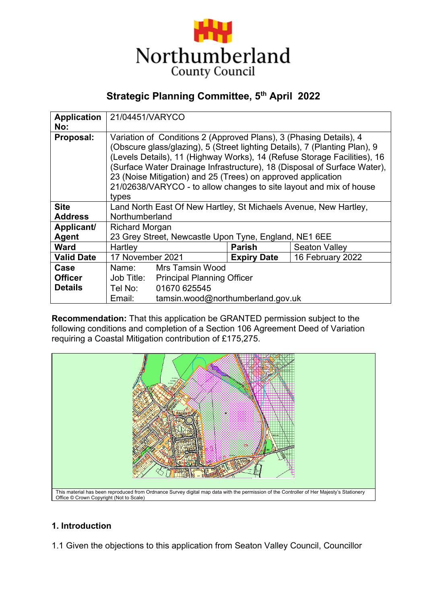

# **Strategic Planning Committee, 5th April 2022**

| <b>Application</b> | 21/04451/VARYCO                                                            |                                       |                    |                  |  |
|--------------------|----------------------------------------------------------------------------|---------------------------------------|--------------------|------------------|--|
| No:                |                                                                            |                                       |                    |                  |  |
| Proposal:          | Variation of Conditions 2 (Approved Plans), 3 (Phasing Details), 4         |                                       |                    |                  |  |
|                    | (Obscure glass/glazing), 5 (Street lighting Details), 7 (Planting Plan), 9 |                                       |                    |                  |  |
|                    | (Levels Details), 11 (Highway Works), 14 (Refuse Storage Facilities), 16   |                                       |                    |                  |  |
|                    | (Surface Water Drainage Infrastructure), 18 (Disposal of Surface Water),   |                                       |                    |                  |  |
|                    | 23 (Noise Mitigation) and 25 (Trees) on approved application               |                                       |                    |                  |  |
|                    | 21/02638/VARYCO - to allow changes to site layout and mix of house         |                                       |                    |                  |  |
|                    | types                                                                      |                                       |                    |                  |  |
| <b>Site</b>        | Land North East Of New Hartley, St Michaels Avenue, New Hartley,           |                                       |                    |                  |  |
| <b>Address</b>     | Northumberland                                                             |                                       |                    |                  |  |
| Applicant/         | <b>Richard Morgan</b>                                                      |                                       |                    |                  |  |
| <b>Agent</b>       | 23 Grey Street, Newcastle Upon Tyne, England, NE1 6EE                      |                                       |                    |                  |  |
| <b>Ward</b>        | Hartley                                                                    |                                       | <b>Parish</b>      | Seaton Valley    |  |
| <b>Valid Date</b>  | 17 November 2021                                                           |                                       | <b>Expiry Date</b> | 16 February 2022 |  |
| Case               | Name:                                                                      | <b>Mrs Tamsin Wood</b>                |                    |                  |  |
| <b>Officer</b>     |                                                                            | Job Title: Principal Planning Officer |                    |                  |  |
| <b>Details</b>     | Tel No:                                                                    | 01670 625545                          |                    |                  |  |
|                    | Email:                                                                     | tamsin.wood@northumberland.gov.uk     |                    |                  |  |

**Recommendation:** That this application be GRANTED permission subject to the following conditions and completion of a Section 106 Agreement Deed of Variation requiring a Coastal Mitigation contribution of £175,275.



## **1. Introduction**

1.1 Given the objections to this application from Seaton Valley Council, Councillor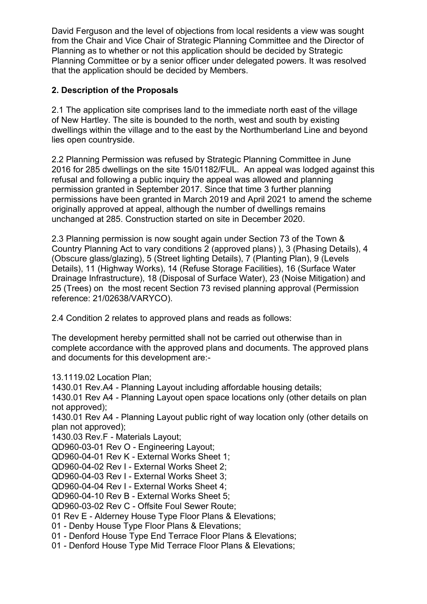David Ferguson and the level of objections from local residents a view was sought from the Chair and Vice Chair of Strategic Planning Committee and the Director of Planning as to whether or not this application should be decided by Strategic Planning Committee or by a senior officer under delegated powers. It was resolved that the application should be decided by Members.

## **2. Description of the Proposals**

2.1 The application site comprises land to the immediate north east of the village of New Hartley. The site is bounded to the north, west and south by existing dwellings within the village and to the east by the Northumberland Line and beyond lies open countryside.

2.2 Planning Permission was refused by Strategic Planning Committee in June 2016 for 285 dwellings on the site 15/01182/FUL. An appeal was lodged against this refusal and following a public inquiry the appeal was allowed and planning permission granted in September 2017. Since that time 3 further planning permissions have been granted in March 2019 and April 2021 to amend the scheme originally approved at appeal, although the number of dwellings remains unchanged at 285. Construction started on site in December 2020.

2.3 Planning permission is now sought again under Section 73 of the Town & Country Planning Act to vary conditions 2 (approved plans) ), 3 (Phasing Details), 4 (Obscure glass/glazing), 5 (Street lighting Details), 7 (Planting Plan), 9 (Levels Details), 11 (Highway Works), 14 (Refuse Storage Facilities), 16 (Surface Water Drainage Infrastructure), 18 (Disposal of Surface Water), 23 (Noise Mitigation) and 25 (Trees) on the most recent Section 73 revised planning approval (Permission reference: 21/02638/VARYCO).

2.4 Condition 2 relates to approved plans and reads as follows:

The development hereby permitted shall not be carried out otherwise than in complete accordance with the approved plans and documents. The approved plans and documents for this development are:-

13.1119.02 Location Plan;

1430.01 Rev.A4 - Planning Layout including affordable housing details;

1430.01 Rev A4 - Planning Layout open space locations only (other details on plan not approved);

1430.01 Rev A4 - Planning Layout public right of way location only (other details on plan not approved);

1430.03 Rev.F - Materials Layout;

QD960-03-01 Rev O - Engineering Layout;

QD960-04-01 Rev K - External Works Sheet 1;

QD960-04-02 Rev I - External Works Sheet 2;

QD960-04-03 Rev I - External Works Sheet 3;

QD960-04-04 Rev I - External Works Sheet 4;

QD960-04-10 Rev B - External Works Sheet 5;

QD960-03-02 Rev C - Offsite Foul Sewer Route;

01 Rev E - Alderney House Type Floor Plans & Elevations;

01 - Denby House Type Floor Plans & Elevations;

01 - Denford House Type End Terrace Floor Plans & Elevations;

01 - Denford House Type Mid Terrace Floor Plans & Elevations;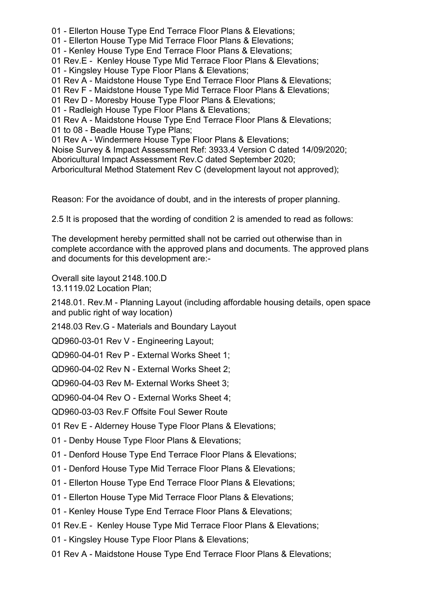- 01 Ellerton House Type End Terrace Floor Plans & Elevations;
- 01 Ellerton House Type Mid Terrace Floor Plans & Elevations;
- 01 Kenley House Type End Terrace Floor Plans & Elevations;
- 01 Rev.E Kenley House Type Mid Terrace Floor Plans & Elevations;
- 01 Kingsley House Type Floor Plans & Elevations;
- 01 Rev A Maidstone House Type End Terrace Floor Plans & Elevations;
- 01 Rev F Maidstone House Type Mid Terrace Floor Plans & Elevations;
- 01 Rev D Moresby House Type Floor Plans & Elevations;
- 01 Radleigh House Type Floor Plans & Elevations;
- 01 Rev A Maidstone House Type End Terrace Floor Plans & Elevations;
- 01 to 08 Beadle House Type Plans;
- 01 Rev A Windermere House Type Floor Plans & Elevations;
- Noise Survey & Impact Assessment Ref: 3933.4 Version C dated 14/09/2020;
- Aboricultural Impact Assessment Rev.C dated September 2020;
- Arboricultural Method Statement Rev C (development layout not approved);

Reason: For the avoidance of doubt, and in the interests of proper planning.

2.5 It is proposed that the wording of condition 2 is amended to read as follows:

The development hereby permitted shall not be carried out otherwise than in complete accordance with the approved plans and documents. The approved plans and documents for this development are:-

Overall site layout 2148.100.D 13.1119.02 Location Plan;

2148.01. Rev.M - Planning Layout (including affordable housing details, open space and public right of way location)

2148.03 Rev.G - Materials and Boundary Layout

QD960-03-01 Rev V - Engineering Layout;

QD960-04-01 Rev P - External Works Sheet 1;

QD960-04-02 Rev N - External Works Sheet 2;

QD960-04-03 Rev M- External Works Sheet 3;

QD960-04-04 Rev O - External Works Sheet 4;

QD960-03-03 Rev.F Offsite Foul Sewer Route

01 Rev E - Alderney House Type Floor Plans & Elevations;

- 01 Denby House Type Floor Plans & Elevations;
- 01 Denford House Type End Terrace Floor Plans & Elevations;
- 01 Denford House Type Mid Terrace Floor Plans & Elevations;
- 01 Ellerton House Type End Terrace Floor Plans & Elevations;
- 01 Ellerton House Type Mid Terrace Floor Plans & Elevations;
- 01 Kenley House Type End Terrace Floor Plans & Elevations;

01 Rev.E - Kenley House Type Mid Terrace Floor Plans & Elevations;

- 01 Kingsley House Type Floor Plans & Elevations;
- 01 Rev A Maidstone House Type End Terrace Floor Plans & Elevations;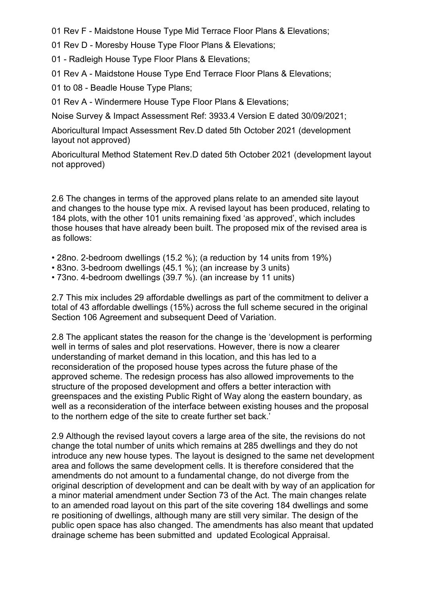01 Rev F - Maidstone House Type Mid Terrace Floor Plans & Elevations;

- 01 Rev D Moresby House Type Floor Plans & Elevations;
- 01 Radleigh House Type Floor Plans & Elevations;
- 01 Rev A Maidstone House Type End Terrace Floor Plans & Elevations;
- 01 to 08 Beadle House Type Plans;

01 Rev A - Windermere House Type Floor Plans & Elevations;

Noise Survey & Impact Assessment Ref: 3933.4 Version E dated 30/09/2021;

Aboricultural Impact Assessment Rev.D dated 5th October 2021 (development layout not approved)

Aboricultural Method Statement Rev.D dated 5th October 2021 (development layout not approved)

2.6 The changes in terms of the approved plans relate to an amended site layout and changes to the house type mix. A revised layout has been produced, relating to 184 plots, with the other 101 units remaining fixed 'as approved', which includes those houses that have already been built. The proposed mix of the revised area is as follows:

- 28no. 2-bedroom dwellings (15.2 %); (a reduction by 14 units from 19%)
- 83no. 3-bedroom dwellings (45.1 %); (an increase by 3 units)
- 73no. 4-bedroom dwellings (39.7 %). (an increase by 11 units)

2.7 This mix includes 29 affordable dwellings as part of the commitment to deliver a total of 43 affordable dwellings (15%) across the full scheme secured in the original Section 106 Agreement and subsequent Deed of Variation.

2.8 The applicant states the reason for the change is the 'development is performing well in terms of sales and plot reservations. However, there is now a clearer understanding of market demand in this location, and this has led to a reconsideration of the proposed house types across the future phase of the approved scheme. The redesign process has also allowed improvements to the structure of the proposed development and offers a better interaction with greenspaces and the existing Public Right of Way along the eastern boundary, as well as a reconsideration of the interface between existing houses and the proposal to the northern edge of the site to create further set back.'

2.9 Although the revised layout covers a large area of the site, the revisions do not change the total number of units which remains at 285 dwellings and they do not introduce any new house types. The layout is designed to the same net development area and follows the same development cells. It is therefore considered that the amendments do not amount to a fundamental change, do not diverge from the original description of development and can be dealt with by way of an application for a minor material amendment under Section 73 of the Act. The main changes relate to an amended road layout on this part of the site covering 184 dwellings and some re positioning of dwellings, although many are still very similar. The design of the public open space has also changed. The amendments has also meant that updated drainage scheme has been submitted and updated Ecological Appraisal.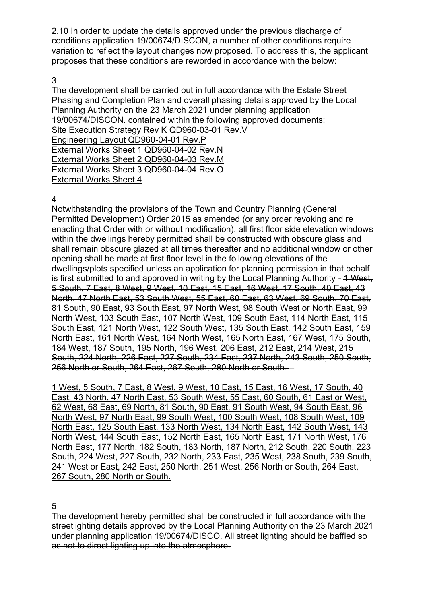2.10 In order to update the details approved under the previous discharge of conditions application 19/00674/DISCON, a number of other conditions require variation to reflect the layout changes now proposed. To address this, the applicant proposes that these conditions are reworded in accordance with the below:

### 3

The development shall be carried out in full accordance with the Estate Street Phasing and Completion Plan and overall phasing details approved by the Local Planning Authority on the 23 March 2021 under planning application 19/00674/DISCON. contained within the following approved documents: Site Execution Strategy Rev K QD960-03-01 Rev.V Engineering Layout QD960-04-01 Rev.P External Works Sheet 1 QD960-04-02 Rev.N External Works Sheet 2 QD960-04-03 Rev.M External Works Sheet 3 QD960-04-04 Rev.O External Works Sheet 4

### 4

Notwithstanding the provisions of the Town and Country Planning (General Permitted Development) Order 2015 as amended (or any order revoking and re enacting that Order with or without modification), all first floor side elevation windows within the dwellings hereby permitted shall be constructed with obscure glass and shall remain obscure glazed at all times thereafter and no additional window or other opening shall be made at first floor level in the following elevations of the dwellings/plots specified unless an application for planning permission in that behalf is first submitted to and approved in writing by the Local Planning Authority - 4 West, 5 South, 7 East, 8 West, 9 West, 10 East, 15 East, 16 West, 17 South, 40 East, 43 North, 47 North East, 53 South West, 55 East, 60 East, 63 West, 69 South, 70 East, 81 South, 90 East, 93 South East, 97 North West, 98 South West or North East, 99 North West, 103 South East, 107 North West, 109 South East, 114 North East, 115 South East, 121 North West, 122 South West, 135 South East, 142 South East, 159 North East, 161 North West, 164 North West, 165 North East, 167 West, 175 South, 184 West, 187 South, 195 North, 196 West, 206 East, 212 East, 214 West, 215 South, 224 North, 226 East, 227 South, 234 East, 237 North, 243 South, 250 South, 256 North or South, 264 East, 267 South, 280 North or South. –

1 West, 5 South, 7 East, 8 West, 9 West, 10 East, 15 East, 16 West, 17 South, 40 East, 43 North, 47 North East, 53 South West, 55 East, 60 South, 61 East or West, 62 West, 68 East, 69 North, 81 South, 90 East, 91 South West, 94 South East, 96 North West, 97 North East, 99 South West, 100 South West, 108 South West, 109 North East, 125 South East, 133 North West, 134 North East, 142 South West, 143 North West, 144 South East, 152 North East, 165 North East, 171 North West, 176 North East, 177 North, 182 South, 183 North, 187 North, 212 South, 220 South, 223 South, 224 West, 227 South, 232 North, 233 East, 235 West, 238 South, 239 South, 241 West or East, 242 East, 250 North, 251 West, 256 North or South, 264 East, 267 South, 280 North or South.

5

The development hereby permitted shall be constructed in full accordance with the streetlighting details approved by the Local Planning Authority on the 23 March 2021 under planning application 19/00674/DISCO. All street lighting should be baffled so as not to direct lighting up into the atmosphere.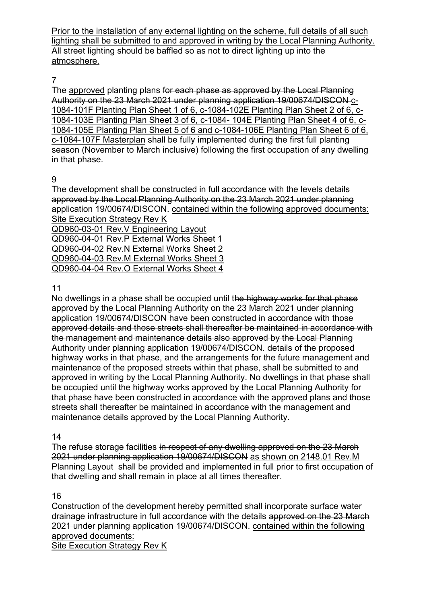Prior to the installation of any external lighting on the scheme, full details of all such lighting shall be submitted to and approved in writing by the Local Planning Authority. All street lighting should be baffled so as not to direct lighting up into the atmosphere.

## 7

The approved planting plans for each phase as approved by the Local Planning Authority on the 23 March 2021 under planning application 19/00674/DISCON c-1084-101F Planting Plan Sheet 1 of 6, c-1084-102E Planting Plan Sheet 2 of 6, c-1084-103E Planting Plan Sheet 3 of 6, c-1084- 104E Planting Plan Sheet 4 of 6, c-1084-105E Planting Plan Sheet 5 of 6 and c-1084-106E Planting Plan Sheet 6 of 6, c-1084-107F Masterplan shall be fully implemented during the first full planting season (November to March inclusive) following the first occupation of any dwelling in that phase.

## 9

The development shall be constructed in full accordance with the levels details approved by the Local Planning Authority on the 23 March 2021 under planning application 19/00674/DISCON. contained within the following approved documents: Site Execution Strategy Rev K

QD960-03-01 Rev.V Engineering Layout QD960-04-01 Rev.P External Works Sheet 1 QD960-04-02 Rev.N External Works Sheet 2 QD960-04-03 Rev.M External Works Sheet 3 QD960-04-04 Rev.O External Works Sheet 4

### 11

No dwellings in a phase shall be occupied until the highway works for that phase approved by the Local Planning Authority on the 23 March 2021 under planning application 19/00674/DISCON have been constructed in accordance with those approved details and those streets shall thereafter be maintained in accordance with the management and maintenance details also approved by the Local Planning Authority under planning application 19/00674/DISCON. details of the proposed highway works in that phase, and the arrangements for the future management and maintenance of the proposed streets within that phase, shall be submitted to and approved in writing by the Local Planning Authority. No dwellings in that phase shall be occupied until the highway works approved by the Local Planning Authority for that phase have been constructed in accordance with the approved plans and those streets shall thereafter be maintained in accordance with the management and maintenance details approved by the Local Planning Authority.

## 14

The refuse storage facilities in respect of any dwelling approved on the 23 March 2021 under planning application 19/00674/DISCON as shown on 2148.01 Rev.M Planning Layout shall be provided and implemented in full prior to first occupation of that dwelling and shall remain in place at all times thereafter.

## 16

Construction of the development hereby permitted shall incorporate surface water drainage infrastructure in full accordance with the details approved on the 23 March 2021 under planning application 19/00674/DISCON. contained within the following approved documents:

Site Execution Strategy Rev K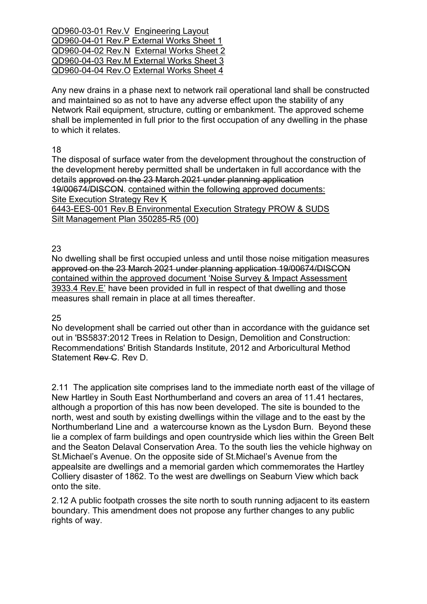QD960-03-01 Rev.V Engineering Layout QD960-04-01 Rev.P External Works Sheet 1 QD960-04-02 Rev.N External Works Sheet 2 QD960-04-03 Rev.M External Works Sheet 3 QD960-04-04 Rev.O External Works Sheet 4

Any new drains in a phase next to network rail operational land shall be constructed and maintained so as not to have any adverse effect upon the stability of any Network Rail equipment, structure, cutting or embankment. The approved scheme shall be implemented in full prior to the first occupation of any dwelling in the phase to which it relates.

18

The disposal of surface water from the development throughout the construction of the development hereby permitted shall be undertaken in full accordance with the details approved on the 23 March 2021 under planning application 19/00674/DISCON. contained within the following approved documents: Site Execution Strategy Rev K 6443-EES-001 Rev.B Environmental Execution Strategy PROW & SUDS

Silt Management Plan 350285-R5 (00)

23

No dwelling shall be first occupied unless and until those noise mitigation measures approved on the 23 March 2021 under planning application 19/00674/DISCON contained within the approved document 'Noise Survey & Impact Assessment 3933.4 Rev.E' have been provided in full in respect of that dwelling and those measures shall remain in place at all times thereafter.

### 25

No development shall be carried out other than in accordance with the guidance set out in 'BS5837:2012 Trees in Relation to Design, Demolition and Construction: Recommendations' British Standards Institute, 2012 and Arboricultural Method Statement Rev C. Rev D.

2.11 The application site comprises land to the immediate north east of the village of New Hartley in South East Northumberland and covers an area of 11.41 hectares, although a proportion of this has now been developed. The site is bounded to the north, west and south by existing dwellings within the village and to the east by the Northumberland Line and a watercourse known as the Lysdon Burn. Beyond these lie a complex of farm buildings and open countryside which lies within the Green Belt and the Seaton Delaval Conservation Area. To the south lies the vehicle highway on St.Michael's Avenue. On the opposite side of St.Michael's Avenue from the appealsite are dwellings and a memorial garden which commemorates the Hartley Colliery disaster of 1862. To the west are dwellings on Seaburn View which back onto the site.

2.12 A public footpath crosses the site north to south running adjacent to its eastern boundary. This amendment does not propose any further changes to any public rights of way.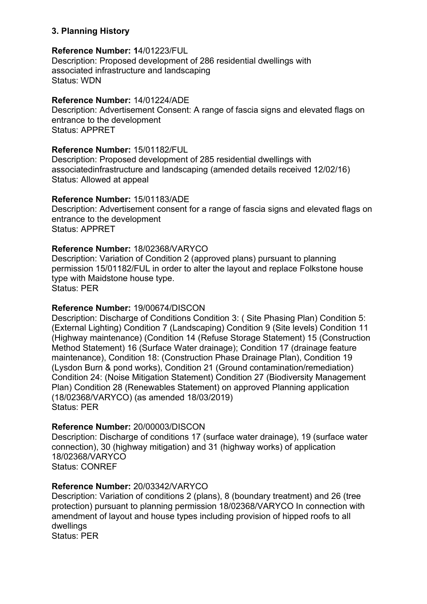### **3. Planning History**

### **Reference Number: 1**4/01223/FUL

Description: Proposed development of 286 residential dwellings with associated infrastructure and landscaping Status: WDN

### **Reference Number:** 14/01224/ADE

Description: Advertisement Consent: A range of fascia signs and elevated flags on entrance to the development Status: APPRET

#### **Reference Number:** 15/01182/FUL

Description: Proposed development of 285 residential dwellings with associatedinfrastructure and landscaping (amended details received 12/02/16) Status: Allowed at appeal

### **Reference Number:** 15/01183/ADE

Description: Advertisement consent for a range of fascia signs and elevated flags on entrance to the development Status: APPRET

### **Reference Number:** 18/02368/VARYCO

Description: Variation of Condition 2 (approved plans) pursuant to planning permission 15/01182/FUL in order to alter the layout and replace Folkstone house type with Maidstone house type. Status: PER

#### **Reference Number:** 19/00674/DISCON

Description: Discharge of Conditions Condition 3: ( Site Phasing Plan) Condition 5: (External Lighting) Condition 7 (Landscaping) Condition 9 (Site levels) Condition 11 (Highway maintenance) (Condition 14 (Refuse Storage Statement) 15 (Construction Method Statement) 16 (Surface Water drainage); Condition 17 (drainage feature maintenance), Condition 18: (Construction Phase Drainage Plan), Condition 19 (Lysdon Burn & pond works), Condition 21 (Ground contamination/remediation) Condition 24: (Noise Mitigation Statement) Condition 27 (Biodiversity Management Plan) Condition 28 (Renewables Statement) on approved Planning application (18/02368/VARYCO) (as amended 18/03/2019) Status: PER

### **Reference Number:** 20/00003/DISCON

Description: Discharge of conditions 17 (surface water drainage), 19 (surface water connection), 30 (highway mitigation) and 31 (highway works) of application 18/02368/VARYCO Status: CONREF

### **Reference Number:** 20/03342/VARYCO

Description: Variation of conditions 2 (plans), 8 (boundary treatment) and 26 (tree protection) pursuant to planning permission 18/02368/VARYCO In connection with amendment of layout and house types including provision of hipped roofs to all dwellings Status: PER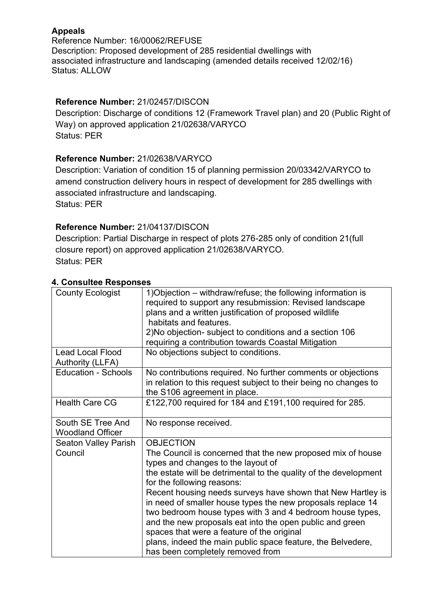## **Appeals**

Reference Number: 16/00062/REFUSE Description: Proposed development of 285 residential dwellings with associated infrastructure and landscaping (amended details received 12/02/16) Status: ALLOW

## **Reference Number:** 21/02457/DISCON

Description: Discharge of conditions 12 (Framework Travel plan) and 20 (Public Right of Way) on approved application 21/02638/VARYCO Status: PER

## **Reference Number:** 21/02638/VARYCO

Description: Variation of condition 15 of planning permission 20/03342/VARYCO to amend construction delivery hours in respect of development for 285 dwellings with associated infrastructure and landscaping. Status: PER

## **Reference Number:** 21/04137/DISCON

Description: Partial Discharge in respect of plots 276-285 only of condition 21(full closure report) on approved application 21/02638/VARYCO. Status: PER

| <b>County Ecologist</b>    | 1) Objection – withdraw/refuse; the following information is     |  |  |
|----------------------------|------------------------------------------------------------------|--|--|
|                            | required to support any resubmission: Revised landscape          |  |  |
|                            | plans and a written justification of proposed wildlife           |  |  |
|                            | habitats and features.                                           |  |  |
|                            | 2) No objection- subject to conditions and a section 106         |  |  |
|                            | requiring a contribution towards Coastal Mitigation              |  |  |
| <b>Lead Local Flood</b>    | No objections subject to conditions.                             |  |  |
| <b>Authority (LLFA)</b>    |                                                                  |  |  |
| <b>Education - Schools</b> | No contributions required. No further comments or objections     |  |  |
|                            | in relation to this request subject to their being no changes to |  |  |
|                            | the S106 agreement in place.                                     |  |  |
| <b>Health Care CG</b>      | £122,700 required for 184 and £191,100 required for 285.         |  |  |
|                            |                                                                  |  |  |
| South SE Tree And          | No response received.                                            |  |  |
| <b>Woodland Officer</b>    |                                                                  |  |  |
| Seaton Valley Parish       | <b>OBJECTION</b>                                                 |  |  |
| Council                    | The Council is concerned that the new proposed mix of house      |  |  |
|                            | types and changes to the layout of                               |  |  |
|                            | the estate will be detrimental to the quality of the development |  |  |
|                            | for the following reasons:                                       |  |  |
|                            | Recent housing needs surveys have shown that New Hartley is      |  |  |
|                            | in need of smaller house types the new proposals replace 14      |  |  |
|                            | two bedroom house types with 3 and 4 bedroom house types,        |  |  |
|                            | and the new proposals eat into the open public and green         |  |  |
|                            | spaces that were a feature of the original                       |  |  |
|                            | plans, indeed the main public space feature, the Belvedere,      |  |  |
|                            | has been completely removed from                                 |  |  |

## **4. Consultee Responses**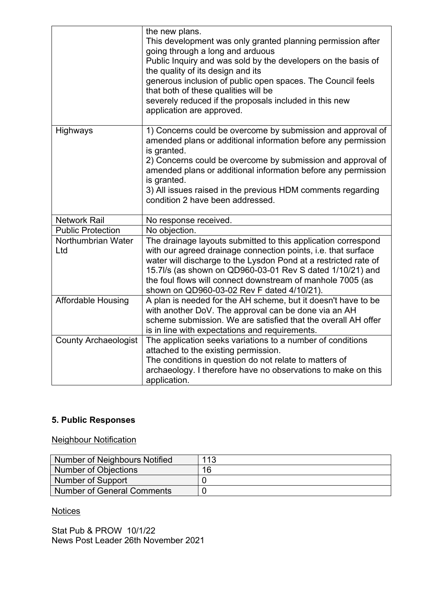|                             | the new plans.<br>This development was only granted planning permission after<br>going through a long and arduous<br>Public Inquiry and was sold by the developers on the basis of<br>the quality of its design and its<br>generous inclusion of public open spaces. The Council feels<br>that both of these qualities will be<br>severely reduced if the proposals included in this new<br>application are approved. |
|-----------------------------|-----------------------------------------------------------------------------------------------------------------------------------------------------------------------------------------------------------------------------------------------------------------------------------------------------------------------------------------------------------------------------------------------------------------------|
| Highways                    | 1) Concerns could be overcome by submission and approval of<br>amended plans or additional information before any permission<br>is granted.<br>2) Concerns could be overcome by submission and approval of<br>amended plans or additional information before any permission<br>is granted.<br>3) All issues raised in the previous HDM comments regarding<br>condition 2 have been addressed.                         |
| <b>Network Rail</b>         | No response received.                                                                                                                                                                                                                                                                                                                                                                                                 |
| <b>Public Protection</b>    | No objection.                                                                                                                                                                                                                                                                                                                                                                                                         |
| Northumbrian Water<br>Ltd   | The drainage layouts submitted to this application correspond<br>with our agreed drainage connection points, i.e. that surface<br>water will discharge to the Lysdon Pond at a restricted rate of<br>15.7l/s (as shown on QD960-03-01 Rev S dated 1/10/21) and<br>the foul flows will connect downstream of manhole 7005 (as<br>shown on QD960-03-02 Rev F dated 4/10/21).                                            |
| <b>Affordable Housing</b>   | A plan is needed for the AH scheme, but it doesn't have to be<br>with another DoV. The approval can be done via an AH<br>scheme submission. We are satisfied that the overall AH offer<br>is in line with expectations and requirements.                                                                                                                                                                              |
| <b>County Archaeologist</b> | The application seeks variations to a number of conditions<br>attached to the existing permission.<br>The conditions in question do not relate to matters of<br>archaeology. I therefore have no observations to make on this<br>application.                                                                                                                                                                         |

## **5. Public Responses**

## Neighbour Notification

| Number of Neighbours Notified | 113 |
|-------------------------------|-----|
| Number of Objections          | 16  |
| Number of Support             |     |
| Number of General Comments    |     |

## **Notices**

Stat Pub & PROW 10/1/22 News Post Leader 26th November 2021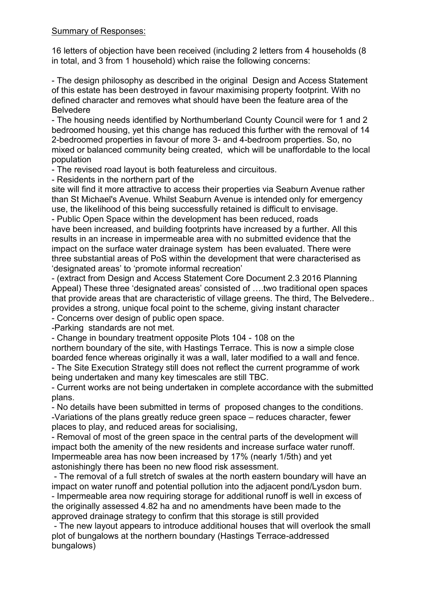### Summary of Responses:

16 letters of objection have been received (including 2 letters from 4 households (8 in total, and 3 from 1 household) which raise the following concerns:

- The design philosophy as described in the original Design and Access Statement of this estate has been destroyed in favour maximising property footprint. With no defined character and removes what should have been the feature area of the Belvedere

- The housing needs identified by Northumberland County Council were for 1 and 2 bedroomed housing, yet this change has reduced this further with the removal of 14 2-bedroomed properties in favour of more 3- and 4-bedroom properties. So, no mixed or balanced community being created, which will be unaffordable to the local population

- The revised road layout is both featureless and circuitous.

- Residents in the northern part of the

site will find it more attractive to access their properties via Seaburn Avenue rather than St Michael's Avenue. Whilst Seaburn Avenue is intended only for emergency use, the likelihood of this being successfully retained is difficult to envisage.

- Public Open Space within the development has been reduced, roads have been increased, and building footprints have increased by a further. All this results in an increase in impermeable area with no submitted evidence that the impact on the surface water drainage system has been evaluated. There were three substantial areas of PoS within the development that were characterised as 'designated areas' to 'promote informal recreation'

- (extract from Design and Access Statement Core Document 2.3 2016 Planning Appeal) These three 'designated areas' consisted of ….two traditional open spaces that provide areas that are characteristic of village greens. The third, The Belvedere.. provides a strong, unique focal point to the scheme, giving instant character - Concerns over design of public open space.

-Parking standards are not met.

- Change in boundary treatment opposite Plots 104 - 108 on the

northern boundary of the site, with Hastings Terrace. This is now a simple close boarded fence whereas originally it was a wall, later modified to a wall and fence.

- The Site Execution Strategy still does not reflect the current programme of work being undertaken and many key timescales are still TBC.

- Current works are not being undertaken in complete accordance with the submitted plans.

- No details have been submitted in terms of proposed changes to the conditions. -Variations of the plans greatly reduce green space – reduces character, fewer places to play, and reduced areas for socialising,

- Removal of most of the green space in the central parts of the development will impact both the amenity of the new residents and increase surface water runoff. Impermeable area has now been increased by 17% (nearly 1/5th) and yet astonishingly there has been no new flood risk assessment.

- The removal of a full stretch of swales at the north eastern boundary will have an impact on water runoff and potential pollution into the adjacent pond/Lysdon burn. - Impermeable area now requiring storage for additional runoff is well in excess of the originally assessed 4.82 ha and no amendments have been made to the approved drainage strategy to confirm that this storage is still provided

- The new layout appears to introduce additional houses that will overlook the small plot of bungalows at the northern boundary (Hastings Terrace-addressed bungalows)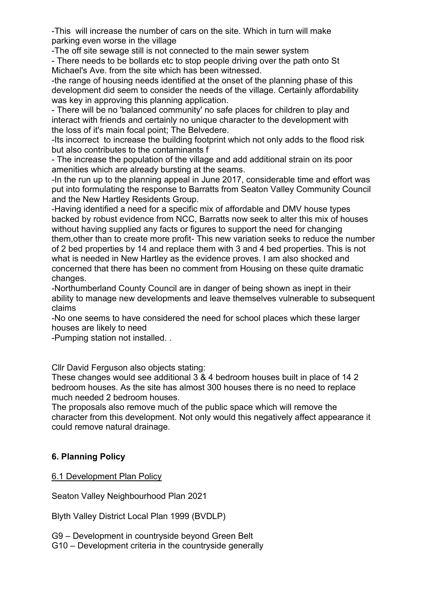-This will increase the number of cars on the site. Which in turn will make parking even worse in the village

-The off site sewage still is not connected to the main sewer system - There needs to be bollards etc to stop people driving over the path onto St Michael's Ave. from the site which has been witnessed.

-the range of housing needs identified at the onset of the planning phase of this development did seem to consider the needs of the village. Certainly affordability was key in approving this planning application.

- There will be no 'balanced community' no safe places for children to play and interact with friends and certainly no unique character to the development with the loss of it's main focal point; The Belvedere.

-Its incorrect to increase the building footprint which not only adds to the flood risk but also contributes to the contaminants f

- The increase the population of the village and add additional strain on its poor amenities which are already bursting at the seams.

-In the run up to the planning appeal in June 2017, considerable time and effort was put into formulating the response to Barratts from Seaton Valley Community Council and the New Hartley Residents Group.

-Having identified a need for a specific mix of affordable and DMV house types backed by robust evidence from NCC, Barratts now seek to alter this mix of houses without having supplied any facts or figures to support the need for changing them,other than to create more profit- This new variation seeks to reduce the number of 2 bed properties by 14 and replace them with 3 and 4 bed properties. This is not what is needed in New Hartley as the evidence proves. I am also shocked and concerned that there has been no comment from Housing on these quite dramatic changes.

-Northumberland County Council are in danger of being shown as inept in their ability to manage new developments and leave themselves vulnerable to subsequent claims

-No one seems to have considered the need for school places which these larger houses are likely to need

-Pumping station not installed. .

Cllr David Ferguson also objects stating:

These changes would see additional 3 & 4 bedroom houses built in place of 14 2 bedroom houses. As the site has almost 300 houses there is no need to replace much needed 2 bedroom houses.

The proposals also remove much of the public space which will remove the character from this development. Not only would this negatively affect appearance it could remove natural drainage.

## **6. Planning Policy**

6.1 Development Plan Policy

Seaton Valley Neighbourhood Plan 2021

Blyth Valley District Local Plan 1999 (BVDLP)

G9 – Development in countryside beyond Green Belt G10 – Development criteria in the countryside generally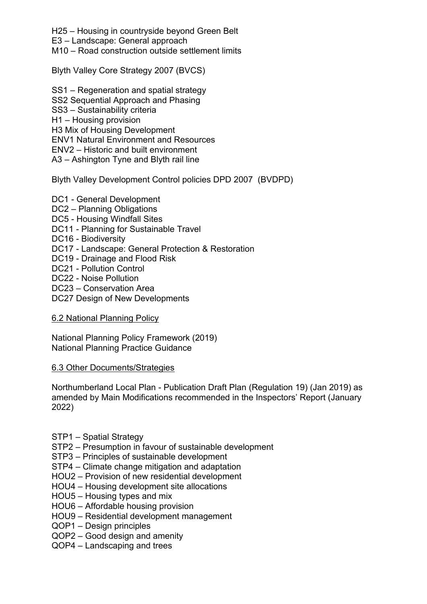H25 – Housing in countryside beyond Green Belt

E3 – Landscape: General approach

M10 – Road construction outside settlement limits

Blyth Valley Core Strategy 2007 (BVCS)

- SS1 Regeneration and spatial strategy
- SS2 Sequential Approach and Phasing
- SS3 Sustainability criteria
- H1 Housing provision

H3 Mix of Housing Development

ENV1 Natural Environment and Resources

ENV2 – Historic and built environment

A3 – Ashington Tyne and Blyth rail line

## Blyth Valley Development Control policies DPD 2007 (BVDPD)

- DC1 General Development
- DC2 Planning Obligations
- DC5 Housing Windfall Sites
- DC11 Planning for Sustainable Travel
- DC16 Biodiversity
- DC17 Landscape: General Protection & Restoration
- DC19 Drainage and Flood Risk
- DC21 Pollution Control
- DC22 Noise Pollution
- DC23 Conservation Area
- DC27 Design of New Developments

## 6.2 National Planning Policy

National Planning Policy Framework (2019) National Planning Practice Guidance

### 6.3 Other Documents/Strategies

Northumberland Local Plan - Publication Draft Plan (Regulation 19) (Jan 2019) as amended by Main Modifications recommended in the Inspectors' Report (January 2022)

- STP1 Spatial Strategy
- STP2 Presumption in favour of sustainable development
- STP3 Principles of sustainable development
- STP4 Climate change mitigation and adaptation
- HOU2 Provision of new residential development
- HOU4 Housing development site allocations
- HOU5 Housing types and mix
- HOU6 Affordable housing provision
- HOU9 Residential development management
- QOP1 Design principles
- QOP2 Good design and amenity
- QOP4 Landscaping and trees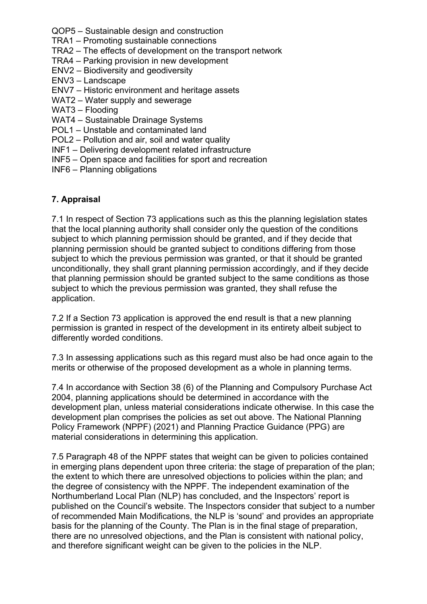QOP5 – Sustainable design and construction

TRA1 – Promoting sustainable connections

- TRA2 The effects of development on the transport network
- TRA4 Parking provision in new development
- ENV2 Biodiversity and geodiversity
- ENV3 Landscape
- ENV7 Historic environment and heritage assets
- WAT2 Water supply and sewerage
- WAT3 Flooding
- WAT4 Sustainable Drainage Systems
- POL1 Unstable and contaminated land
- POL2 Pollution and air, soil and water quality
- INF1 Delivering development related infrastructure
- INF5 Open space and facilities for sport and recreation
- INF6 Planning obligations

### **7. Appraisal**

7.1 In respect of Section 73 applications such as this the planning legislation states that the local planning authority shall consider only the question of the conditions subject to which planning permission should be granted, and if they decide that planning permission should be granted subject to conditions differing from those subject to which the previous permission was granted, or that it should be granted unconditionally, they shall grant planning permission accordingly, and if they decide that planning permission should be granted subject to the same conditions as those subject to which the previous permission was granted, they shall refuse the application.

7.2 If a Section 73 application is approved the end result is that a new planning permission is granted in respect of the development in its entirety albeit subject to differently worded conditions.

7.3 In assessing applications such as this regard must also be had once again to the merits or otherwise of the proposed development as a whole in planning terms.

7.4 In accordance with Section 38 (6) of the Planning and Compulsory Purchase Act 2004, planning applications should be determined in accordance with the development plan, unless material considerations indicate otherwise. In this case the development plan comprises the policies as set out above. The National Planning Policy Framework (NPPF) (2021) and Planning Practice Guidance (PPG) are material considerations in determining this application.

7.5 Paragraph 48 of the NPPF states that weight can be given to policies contained in emerging plans dependent upon three criteria: the stage of preparation of the plan; the extent to which there are unresolved objections to policies within the plan; and the degree of consistency with the NPPF. The independent examination of the Northumberland Local Plan (NLP) has concluded, and the Inspectors' report is published on the Council's website. The Inspectors consider that subject to a number of recommended Main Modifications, the NLP is 'sound' and provides an appropriate basis for the planning of the County. The Plan is in the final stage of preparation, there are no unresolved objections, and the Plan is consistent with national policy, and therefore significant weight can be given to the policies in the NLP.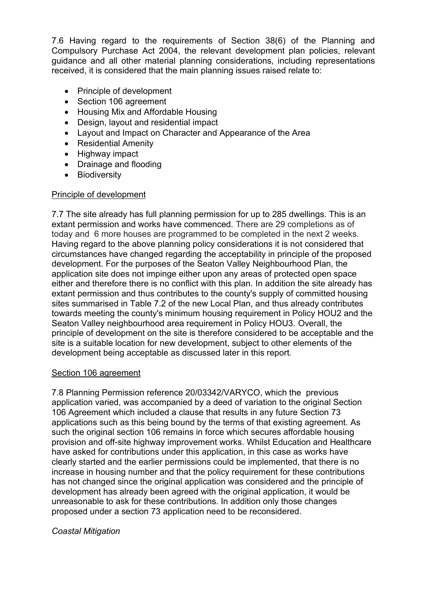7.6 Having regard to the requirements of Section 38(6) of the Planning and Compulsory Purchase Act 2004, the relevant development plan policies, relevant guidance and all other material planning considerations, including representations received, it is considered that the main planning issues raised relate to:

- Principle of development
- Section 106 agreement
- Housing Mix and Affordable Housing
- Design, layout and residential impact
- Layout and Impact on Character and Appearance of the Area
- Residential Amenity
- Highway impact
- Drainage and flooding
- Biodiversity

### Principle of development

7.7 The site already has full planning permission for up to 285 dwellings. This is an extant permission and works have commenced. There are 29 completions as of today and 6 more houses are programmed to be completed in the next 2 weeks. Having regard to the above planning policy considerations it is not considered that circumstances have changed regarding the acceptability in principle of the proposed development. For the purposes of the Seaton Valley Neighbourhood Plan, the application site does not impinge either upon any areas of protected open space either and therefore there is no conflict with this plan. In addition the site already has extant permission and thus contributes to the county's supply of committed housing sites summarised in Table 7.2 of the new Local Plan, and thus already contributes towards meeting the county's minimum housing requirement in Policy HOU2 and the Seaton Valley neighbourhood area requirement in Policy HOU3. Overall, the principle of development on the site is therefore considered to be acceptable and the site is a suitable location for new development, subject to other elements of the development being acceptable as discussed later in this report.

#### Section 106 agreement

7.8 Planning Permission reference 20/03342/VARYCO, which the previous application varied, was accompanied by a deed of variation to the original Section 106 Agreement which included a clause that results in any future Section 73 applications such as this being bound by the terms of that existing agreement. As such the original section 106 remains in force which secures affordable housing provision and off-site highway improvement works. Whilst Education and Healthcare have asked for contributions under this application, in this case as works have clearly started and the earlier permissions could be implemented, that there is no increase in housing number and that the policy requirement for these contributions has not changed since the original application was considered and the principle of development has already been agreed with the original application, it would be unreasonable to ask for these contributions. In addition only those changes proposed under a section 73 application need to be reconsidered.

### *Coastal Mitigation*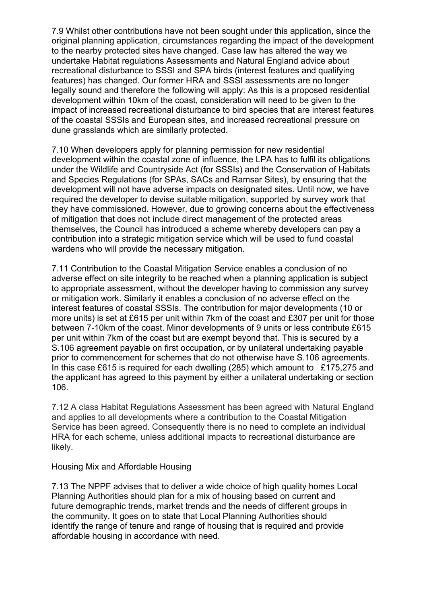7.9 Whilst other contributions have not been sought under this application, since the original planning application, circumstances regarding the impact of the development to the nearby protected sites have changed. Case law has altered the way we undertake Habitat regulations Assessments and Natural England advice about recreational disturbance to SSSI and SPA birds (interest features and qualifying features) has changed. Our former HRA and SSSI assessments are no longer legally sound and therefore the following will apply: As this is a proposed residential development within 10km of the coast, consideration will need to be given to the impact of increased recreational disturbance to bird species that are interest features of the coastal SSSIs and European sites, and increased recreational pressure on dune grasslands which are similarly protected.

7.10 When developers apply for planning permission for new residential development within the coastal zone of influence, the LPA has to fulfil its obligations under the Wildlife and Countryside Act (for SSSIs) and the Conservation of Habitats and Species Regulations (for SPAs, SACs and Ramsar Sites), by ensuring that the development will not have adverse impacts on designated sites. Until now, we have required the developer to devise suitable mitigation, supported by survey work that they have commissioned. However, due to growing concerns about the effectiveness of mitigation that does not include direct management of the protected areas themselves, the Council has introduced a scheme whereby developers can pay a contribution into a strategic mitigation service which will be used to fund coastal wardens who will provide the necessary mitigation.

7.11 Contribution to the Coastal Mitigation Service enables a conclusion of no adverse effect on site integrity to be reached when a planning application is subject to appropriate assessment, without the developer having to commission any survey or mitigation work. Similarly it enables a conclusion of no adverse effect on the interest features of coastal SSSIs. The contribution for major developments (10 or more units) is set at £615 per unit within 7km of the coast and £307 per unit for those between 7-10km of the coast. Minor developments of 9 units or less contribute £615 per unit within 7km of the coast but are exempt beyond that. This is secured by a S.106 agreement payable on first occupation, or by unilateral undertaking payable prior to commencement for schemes that do not otherwise have S.106 agreements. In this case £615 is required for each dwelling (285) which amount to £175,275 and the applicant has agreed to this payment by either a unilateral undertaking or section 106.

7.12 A class Habitat Regulations Assessment has been agreed with Natural England and applies to all developments where a contribution to the Coastal Mitigation Service has been agreed. Consequently there is no need to complete an individual HRA for each scheme, unless additional impacts to recreational disturbance are likely.

### Housing Mix and Affordable Housing

7.13 The NPPF advises that to deliver a wide choice of high quality homes Local Planning Authorities should plan for a mix of housing based on current and future demographic trends, market trends and the needs of different groups in the community. It goes on to state that Local Planning Authorities should identify the range of tenure and range of housing that is required and provide affordable housing in accordance with need.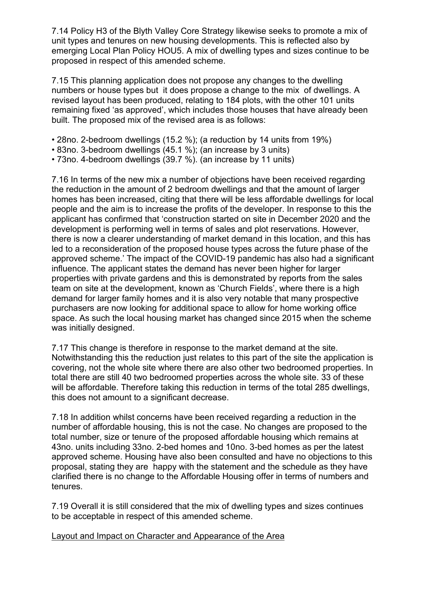7.14 Policy H3 of the Blyth Valley Core Strategy likewise seeks to promote a mix of unit types and tenures on new housing developments. This is reflected also by emerging Local Plan Policy HOU5. A mix of dwelling types and sizes continue to be proposed in respect of this amended scheme.

7.15 This planning application does not propose any changes to the dwelling numbers or house types but it does propose a change to the mix of dwellings. A revised layout has been produced, relating to 184 plots, with the other 101 units remaining fixed 'as approved', which includes those houses that have already been built. The proposed mix of the revised area is as follows:

- 28no. 2-bedroom dwellings (15.2 %); (a reduction by 14 units from 19%)
- 83no. 3-bedroom dwellings (45.1 %); (an increase by 3 units)
- 73no. 4-bedroom dwellings (39.7 %). (an increase by 11 units)

7.16 In terms of the new mix a number of objections have been received regarding the reduction in the amount of 2 bedroom dwellings and that the amount of larger homes has been increased, citing that there will be less affordable dwellings for local people and the aim is to increase the profits of the developer. In response to this the applicant has confirmed that 'construction started on site in December 2020 and the development is performing well in terms of sales and plot reservations. However, there is now a clearer understanding of market demand in this location, and this has led to a reconsideration of the proposed house types across the future phase of the approved scheme.' The impact of the COVID-19 pandemic has also had a significant influence. The applicant states the demand has never been higher for larger properties with private gardens and this is demonstrated by reports from the sales team on site at the development, known as 'Church Fields', where there is a high demand for larger family homes and it is also very notable that many prospective purchasers are now looking for additional space to allow for home working office space. As such the local housing market has changed since 2015 when the scheme was initially designed.

7.17 This change is therefore in response to the market demand at the site. Notwithstanding this the reduction just relates to this part of the site the application is covering, not the whole site where there are also other two bedroomed properties. In total there are still 40 two bedroomed properties across the whole site. 33 of these will be affordable. Therefore taking this reduction in terms of the total 285 dwellings, this does not amount to a significant decrease.

7.18 In addition whilst concerns have been received regarding a reduction in the number of affordable housing, this is not the case. No changes are proposed to the total number, size or tenure of the proposed affordable housing which remains at 43no. units including 33no. 2-bed homes and 10no. 3-bed homes as per the latest approved scheme. Housing have also been consulted and have no objections to this proposal, stating they are happy with the statement and the schedule as they have clarified there is no change to the Affordable Housing offer in terms of numbers and tenures.

7.19 Overall it is still considered that the mix of dwelling types and sizes continues to be acceptable in respect of this amended scheme.

Layout and Impact on Character and Appearance of the Area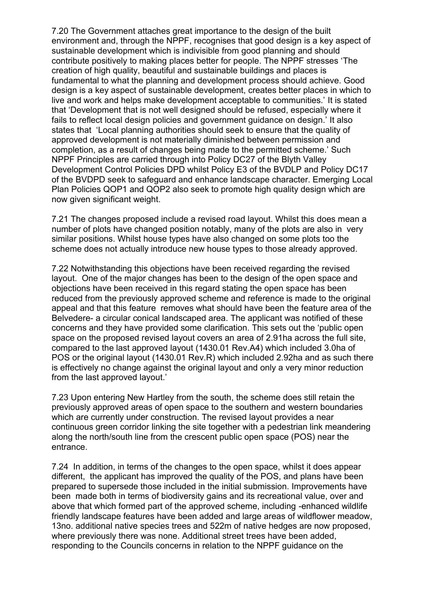7.20 The Government attaches great importance to the design of the built environment and, through the NPPF, recognises that good design is a key aspect of sustainable development which is indivisible from good planning and should contribute positively to making places better for people. The NPPF stresses 'The creation of high quality, beautiful and sustainable buildings and places is fundamental to what the planning and development process should achieve. Good design is a key aspect of sustainable development, creates better places in which to live and work and helps make development acceptable to communities.' It is stated that 'Development that is not well designed should be refused, especially where it fails to reflect local design policies and government guidance on design.' It also states that 'Local planning authorities should seek to ensure that the quality of approved development is not materially diminished between permission and completion, as a result of changes being made to the permitted scheme.' Such NPPF Principles are carried through into Policy DC27 of the Blyth Valley Development Control Policies DPD whilst Policy E3 of the BVDLP and Policy DC17 of the BVDPD seek to safeguard and enhance landscape character. Emerging Local Plan Policies QOP1 and QOP2 also seek to promote high quality design which are now given significant weight.

7.21 The changes proposed include a revised road layout. Whilst this does mean a number of plots have changed position notably, many of the plots are also in very similar positions. Whilst house types have also changed on some plots too the scheme does not actually introduce new house types to those already approved.

7.22 Notwithstanding this objections have been received regarding the revised layout. One of the major changes has been to the design of the open space and objections have been received in this regard stating the open space has been reduced from the previously approved scheme and reference is made to the original appeal and that this feature removes what should have been the feature area of the Belvedere- a circular conical landscaped area. The applicant was notified of these concerns and they have provided some clarification. This sets out the 'public open space on the proposed revised layout covers an area of 2.91ha across the full site, compared to the last approved layout (1430.01 Rev.A4) which included 3.0ha of POS or the original layout (1430.01 Rev.R) which included 2.92ha and as such there is effectively no change against the original layout and only a very minor reduction from the last approved layout.'

7.23 Upon entering New Hartley from the south, the scheme does still retain the previously approved areas of open space to the southern and western boundaries which are currently under construction. The revised layout provides a near continuous green corridor linking the site together with a pedestrian link meandering along the north/south line from the crescent public open space (POS) near the entrance.

7.24 In addition, in terms of the changes to the open space, whilst it does appear different, the applicant has improved the quality of the POS, and plans have been prepared to supersede those included in the initial submission. Improvements have been made both in terms of biodiversity gains and its recreational value, over and above that which formed part of the approved scheme, including -enhanced wildlife friendly landscape features have been added and large areas of wildflower meadow, 13no. additional native species trees and 522m of native hedges are now proposed, where previously there was none. Additional street trees have been added, responding to the Councils concerns in relation to the NPPF guidance on the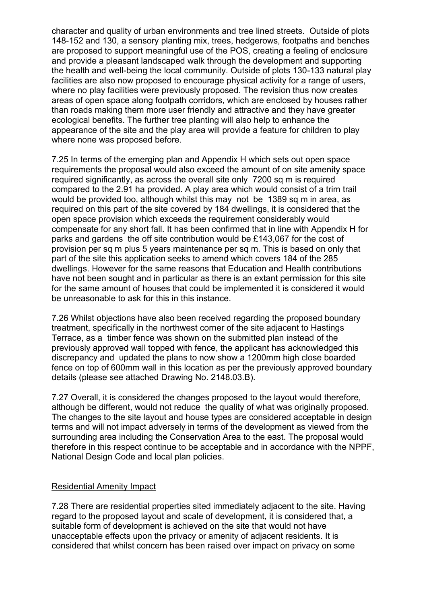character and quality of urban environments and tree lined streets. Outside of plots 148-152 and 130, a sensory planting mix, trees, hedgerows, footpaths and benches are proposed to support meaningful use of the POS, creating a feeling of enclosure and provide a pleasant landscaped walk through the development and supporting the health and well-being the local community. Outside of plots 130-133 natural play facilities are also now proposed to encourage physical activity for a range of users, where no play facilities were previously proposed. The revision thus now creates areas of open space along footpath corridors, which are enclosed by houses rather than roads making them more user friendly and attractive and they have greater ecological benefits. The further tree planting will also help to enhance the appearance of the site and the play area will provide a feature for children to play where none was proposed before.

7.25 In terms of the emerging plan and Appendix H which sets out open space requirements the proposal would also exceed the amount of on site amenity space required significantly, as across the overall site only 7200 sq m is required compared to the 2.91 ha provided. A play area which would consist of a trim trail would be provided too, although whilst this may not be 1389 sq m in area, as required on this part of the site covered by 184 dwellings, it is considered that the open space provision which exceeds the requirement considerably would compensate for any short fall. It has been confirmed that in line with Appendix H for parks and gardens the off site contribution would be £143,067 for the cost of provision per sq m plus 5 years maintenance per sq m. This is based on only that part of the site this application seeks to amend which covers 184 of the 285 dwellings. However for the same reasons that Education and Health contributions have not been sought and in particular as there is an extant permission for this site for the same amount of houses that could be implemented it is considered it would be unreasonable to ask for this in this instance.

7.26 Whilst objections have also been received regarding the proposed boundary treatment, specifically in the northwest corner of the site adjacent to Hastings Terrace, as a timber fence was shown on the submitted plan instead of the previously approved wall topped with fence, the applicant has acknowledged this discrepancy and updated the plans to now show a 1200mm high close boarded fence on top of 600mm wall in this location as per the previously approved boundary details (please see attached Drawing No. 2148.03.B).

7.27 Overall, it is considered the changes proposed to the layout would therefore, although be different, would not reduce the quality of what was originally proposed. The changes to the site layout and house types are considered acceptable in design terms and will not impact adversely in terms of the development as viewed from the surrounding area including the Conservation Area to the east. The proposal would therefore in this respect continue to be acceptable and in accordance with the NPPF, National Design Code and local plan policies.

### Residential Amenity Impact

7.28 There are residential properties sited immediately adjacent to the site. Having regard to the proposed layout and scale of development, it is considered that, a suitable form of development is achieved on the site that would not have unacceptable effects upon the privacy or amenity of adjacent residents. It is considered that whilst concern has been raised over impact on privacy on some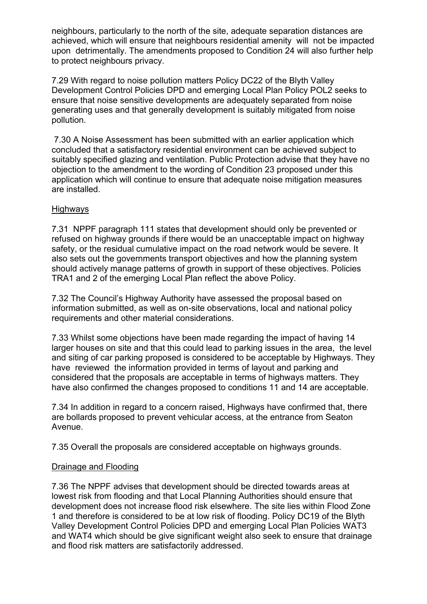neighbours, particularly to the north of the site, adequate separation distances are achieved, which will ensure that neighbours residential amenity will not be impacted upon detrimentally. The amendments proposed to Condition 24 will also further help to protect neighbours privacy.

7.29 With regard to noise pollution matters Policy DC22 of the Blyth Valley Development Control Policies DPD and emerging Local Plan Policy POL2 seeks to ensure that noise sensitive developments are adequately separated from noise generating uses and that generally development is suitably mitigated from noise pollution.

7.30 A Noise Assessment has been submitted with an earlier application which concluded that a satisfactory residential environment can be achieved subject to suitably specified glazing and ventilation. Public Protection advise that they have no objection to the amendment to the wording of Condition 23 proposed under this application which will continue to ensure that adequate noise mitigation measures are installed.

### **Highways**

7.31 NPPF paragraph 111 states that development should only be prevented or refused on highway grounds if there would be an unacceptable impact on highway safety, or the residual cumulative impact on the road network would be severe. It also sets out the governments transport objectives and how the planning system should actively manage patterns of growth in support of these objectives. Policies TRA1 and 2 of the emerging Local Plan reflect the above Policy.

7.32 The Council's Highway Authority have assessed the proposal based on information submitted, as well as on-site observations, local and national policy requirements and other material considerations.

7.33 Whilst some objections have been made regarding the impact of having 14 larger houses on site and that this could lead to parking issues in the area, the level and siting of car parking proposed is considered to be acceptable by Highways. They have reviewed the information provided in terms of layout and parking and considered that the proposals are acceptable in terms of highways matters. They have also confirmed the changes proposed to conditions 11 and 14 are acceptable.

7.34 In addition in regard to a concern raised, Highways have confirmed that, there are bollards proposed to prevent vehicular access, at the entrance from Seaton Avenue.

7.35 Overall the proposals are considered acceptable on highways grounds.

### Drainage and Flooding

7.36 The NPPF advises that development should be directed towards areas at lowest risk from flooding and that Local Planning Authorities should ensure that development does not increase flood risk elsewhere. The site lies within Flood Zone 1 and therefore is considered to be at low risk of flooding. Policy DC19 of the Blyth Valley Development Control Policies DPD and emerging Local Plan Policies WAT3 and WAT4 which should be give significant weight also seek to ensure that drainage and flood risk matters are satisfactorily addressed.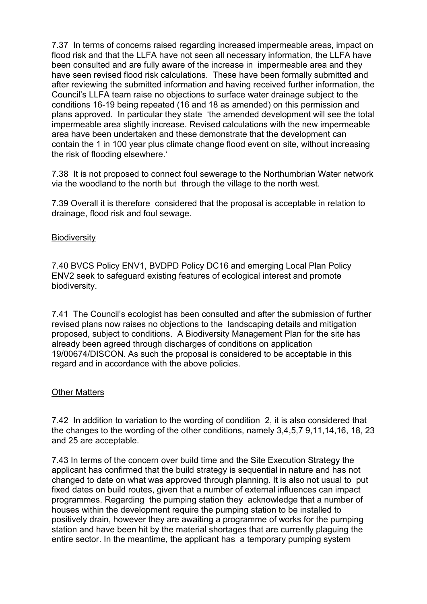7.37 In terms of concerns raised regarding increased impermeable areas, impact on flood risk and that the LLFA have not seen all necessary information, the LLFA have been consulted and are fully aware of the increase in impermeable area and they have seen revised flood risk calculations. These have been formally submitted and after reviewing the submitted information and having received further information, the Council's LLFA team raise no objections to surface water drainage subject to the conditions 16-19 being repeated (16 and 18 as amended) on this permission and plans approved. In particular they state 'the amended development will see the total impermeable area slightly increase. Revised calculations with the new impermeable area have been undertaken and these demonstrate that the development can contain the 1 in 100 year plus climate change flood event on site, without increasing the risk of flooding elsewhere.'

7.38 It is not proposed to connect foul sewerage to the Northumbrian Water network via the woodland to the north but through the village to the north west.

7.39 Overall it is therefore considered that the proposal is acceptable in relation to drainage, flood risk and foul sewage.

### **Biodiversity**

7.40 BVCS Policy ENV1, BVDPD Policy DC16 and emerging Local Plan Policy ENV2 seek to safeguard existing features of ecological interest and promote biodiversity.

7.41 The Council's ecologist has been consulted and after the submission of further revised plans now raises no objections to the landscaping details and mitigation proposed, subject to conditions. A Biodiversity Management Plan for the site has already been agreed through discharges of conditions on application 19/00674/DISCON. As such the proposal is considered to be acceptable in this regard and in accordance with the above policies.

### **Other Matters**

7.42 In addition to variation to the wording of condition 2, it is also considered that the changes to the wording of the other conditions, namely 3,4,5,7 9,11,14,16, 18, 23 and 25 are acceptable.

7.43 In terms of the concern over build time and the Site Execution Strategy the applicant has confirmed that the build strategy is sequential in nature and has not changed to date on what was approved through planning. It is also not usual to put fixed dates on build routes, given that a number of external influences can impact programmes. Regarding the pumping station they acknowledge that a number of houses within the development require the pumping station to be installed to positively drain, however they are awaiting a programme of works for the pumping station and have been hit by the material shortages that are currently plaguing the entire sector. In the meantime, the applicant has a temporary pumping system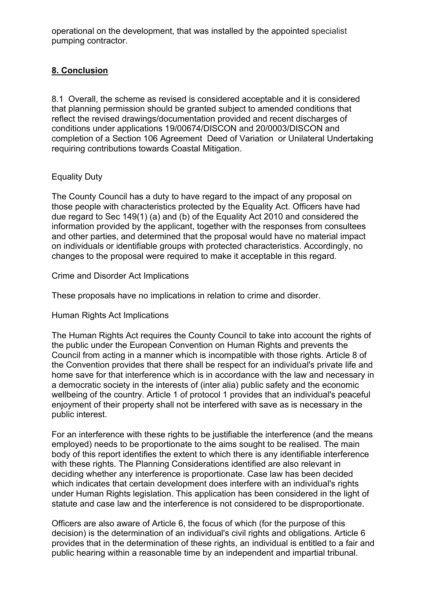operational on the development, that was installed by the appointed specialist pumping contractor.

## **8. Conclusion**

8.1 Overall, the scheme as revised is considered acceptable and it is considered that planning permission should be granted subject to amended conditions that reflect the revised drawings/documentation provided and recent discharges of conditions under applications 19/00674/DISCON and 20/0003/DISCON and completion of a Section 106 Agreement Deed of Variation or Unilateral Undertaking requiring contributions towards Coastal Mitigation.

### Equality Duty

The County Council has a duty to have regard to the impact of any proposal on those people with characteristics protected by the Equality Act. Officers have had due regard to Sec 149(1) (a) and (b) of the Equality Act 2010 and considered the information provided by the applicant, together with the responses from consultees and other parties, and determined that the proposal would have no material impact on individuals or identifiable groups with protected characteristics. Accordingly, no changes to the proposal were required to make it acceptable in this regard.

### Crime and Disorder Act Implications

These proposals have no implications in relation to crime and disorder.

### Human Rights Act Implications

The Human Rights Act requires the County Council to take into account the rights of the public under the European Convention on Human Rights and prevents the Council from acting in a manner which is incompatible with those rights. Article 8 of the Convention provides that there shall be respect for an individual's private life and home save for that interference which is in accordance with the law and necessary in a democratic society in the interests of (inter alia) public safety and the economic wellbeing of the country. Article 1 of protocol 1 provides that an individual's peaceful enjoyment of their property shall not be interfered with save as is necessary in the public interest.

For an interference with these rights to be justifiable the interference (and the means employed) needs to be proportionate to the aims sought to be realised. The main body of this report identifies the extent to which there is any identifiable interference with these rights. The Planning Considerations identified are also relevant in deciding whether any interference is proportionate. Case law has been decided which indicates that certain development does interfere with an individual's rights under Human Rights legislation. This application has been considered in the light of statute and case law and the interference is not considered to be disproportionate.

Officers are also aware of Article 6, the focus of which (for the purpose of this decision) is the determination of an individual's civil rights and obligations. Article 6 provides that in the determination of these rights, an individual is entitled to a fair and public hearing within a reasonable time by an independent and impartial tribunal.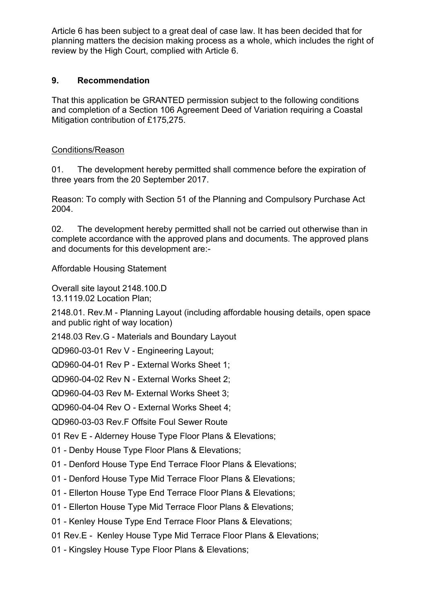Article 6 has been subject to a great deal of case law. It has been decided that for planning matters the decision making process as a whole, which includes the right of review by the High Court, complied with Article 6.

### **9. Recommendation**

That this application be GRANTED permission subject to the following conditions and completion of a Section 106 Agreement Deed of Variation requiring a Coastal Mitigation contribution of £175,275.

### Conditions/Reason

01. The development hereby permitted shall commence before the expiration of three years from the 20 September 2017.

Reason: To comply with Section 51 of the Planning and Compulsory Purchase Act 2004.

02. The development hereby permitted shall not be carried out otherwise than in complete accordance with the approved plans and documents. The approved plans and documents for this development are:-

Affordable Housing Statement

Overall site layout 2148.100.D 13.1119.02 Location Plan;

2148.01. Rev.M - Planning Layout (including affordable housing details, open space and public right of way location)

2148.03 Rev.G - Materials and Boundary Layout

QD960-03-01 Rev V - Engineering Layout;

QD960-04-01 Rev P - External Works Sheet 1;

QD960-04-02 Rev N - External Works Sheet 2;

QD960-04-03 Rev M- External Works Sheet 3;

QD960-04-04 Rev O - External Works Sheet 4;

QD960-03-03 Rev.F Offsite Foul Sewer Route

01 Rev E - Alderney House Type Floor Plans & Elevations;

01 - Denby House Type Floor Plans & Elevations;

- 01 Denford House Type End Terrace Floor Plans & Elevations;
- 01 Denford House Type Mid Terrace Floor Plans & Elevations;
- 01 Ellerton House Type End Terrace Floor Plans & Elevations;
- 01 Ellerton House Type Mid Terrace Floor Plans & Elevations;
- 01 Kenley House Type End Terrace Floor Plans & Elevations;

01 Rev.E - Kenley House Type Mid Terrace Floor Plans & Elevations;

01 - Kingsley House Type Floor Plans & Elevations;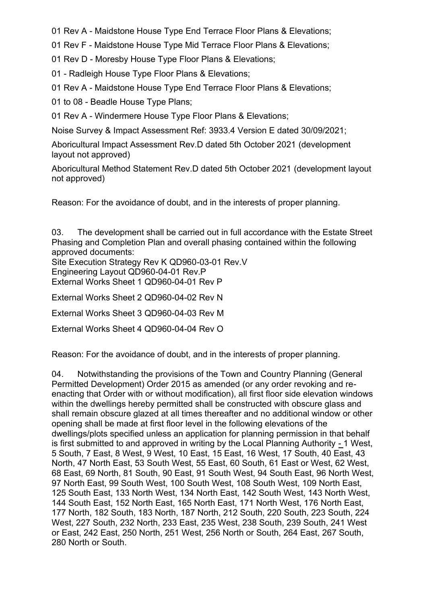01 Rev A - Maidstone House Type End Terrace Floor Plans & Elevations;

01 Rev F - Maidstone House Type Mid Terrace Floor Plans & Elevations;

01 Rev D - Moresby House Type Floor Plans & Elevations;

01 - Radleigh House Type Floor Plans & Elevations;

01 Rev A - Maidstone House Type End Terrace Floor Plans & Elevations;

01 to 08 - Beadle House Type Plans;

01 Rev A - Windermere House Type Floor Plans & Elevations;

Noise Survey & Impact Assessment Ref: 3933.4 Version E dated 30/09/2021;

Aboricultural Impact Assessment Rev.D dated 5th October 2021 (development layout not approved)

Aboricultural Method Statement Rev.D dated 5th October 2021 (development layout not approved)

Reason: For the avoidance of doubt, and in the interests of proper planning.

03. The development shall be carried out in full accordance with the Estate Street Phasing and Completion Plan and overall phasing contained within the following approved documents:

Site Execution Strategy Rev K QD960-03-01 Rev.V Engineering Layout QD960-04-01 Rev.P External Works Sheet 1 QD960-04-01 Rev P

External Works Sheet 2 QD960-04-02 Rev N

External Works Sheet 3 QD960-04-03 Rev M

External Works Sheet 4 QD960-04-04 Rev O

Reason: For the avoidance of doubt, and in the interests of proper planning.

04. Notwithstanding the provisions of the Town and Country Planning (General Permitted Development) Order 2015 as amended (or any order revoking and reenacting that Order with or without modification), all first floor side elevation windows within the dwellings hereby permitted shall be constructed with obscure glass and shall remain obscure glazed at all times thereafter and no additional window or other opening shall be made at first floor level in the following elevations of the dwellings/plots specified unless an application for planning permission in that behalf is first submitted to and approved in writing by the Local Planning Authority - 1 West, 5 South, 7 East, 8 West, 9 West, 10 East, 15 East, 16 West, 17 South, 40 East, 43 North, 47 North East, 53 South West, 55 East, 60 South, 61 East or West, 62 West, 68 East, 69 North, 81 South, 90 East, 91 South West, 94 South East, 96 North West, 97 North East, 99 South West, 100 South West, 108 South West, 109 North East, 125 South East, 133 North West, 134 North East, 142 South West, 143 North West, 144 South East, 152 North East, 165 North East, 171 North West, 176 North East, 177 North, 182 South, 183 North, 187 North, 212 South, 220 South, 223 South, 224 West, 227 South, 232 North, 233 East, 235 West, 238 South, 239 South, 241 West or East, 242 East, 250 North, 251 West, 256 North or South, 264 East, 267 South, 280 North or South.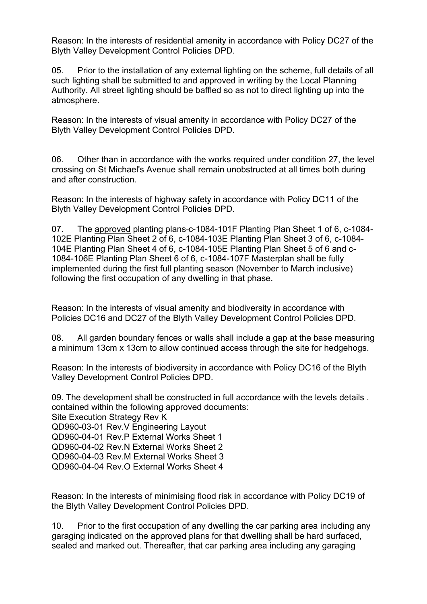Reason: In the interests of residential amenity in accordance with Policy DC27 of the Blyth Valley Development Control Policies DPD.

05. Prior to the installation of any external lighting on the scheme, full details of all such lighting shall be submitted to and approved in writing by the Local Planning Authority. All street lighting should be baffled so as not to direct lighting up into the atmosphere.

Reason: In the interests of visual amenity in accordance with Policy DC27 of the Blyth Valley Development Control Policies DPD.

06. Other than in accordance with the works required under condition 27, the level crossing on St Michael's Avenue shall remain unobstructed at all times both during and after construction.

Reason: In the interests of highway safety in accordance with Policy DC11 of the Blyth Valley Development Control Policies DPD.

07. The approved planting plans c-1084-101F Planting Plan Sheet 1 of 6, c-1084- 102E Planting Plan Sheet 2 of 6, c-1084-103E Planting Plan Sheet 3 of 6, c-1084- 104E Planting Plan Sheet 4 of 6, c-1084-105E Planting Plan Sheet 5 of 6 and c-1084-106E Planting Plan Sheet 6 of 6, c-1084-107F Masterplan shall be fully implemented during the first full planting season (November to March inclusive) following the first occupation of any dwelling in that phase.

Reason: In the interests of visual amenity and biodiversity in accordance with Policies DC16 and DC27 of the Blyth Valley Development Control Policies DPD.

08. All garden boundary fences or walls shall include a gap at the base measuring a minimum 13cm x 13cm to allow continued access through the site for hedgehogs.

Reason: In the interests of biodiversity in accordance with Policy DC16 of the Blyth Valley Development Control Policies DPD.

09. The development shall be constructed in full accordance with the levels details . contained within the following approved documents: Site Execution Strategy Rev K QD960-03-01 Rev.V Engineering Layout QD960-04-01 Rev.P External Works Sheet 1 QD960-04-02 Rev.N External Works Sheet 2 QD960-04-03 Rev.M External Works Sheet 3 QD960-04-04 Rev.O External Works Sheet 4

Reason: In the interests of minimising flood risk in accordance with Policy DC19 of the Blyth Valley Development Control Policies DPD.

10. Prior to the first occupation of any dwelling the car parking area including any garaging indicated on the approved plans for that dwelling shall be hard surfaced, sealed and marked out. Thereafter, that car parking area including any garaging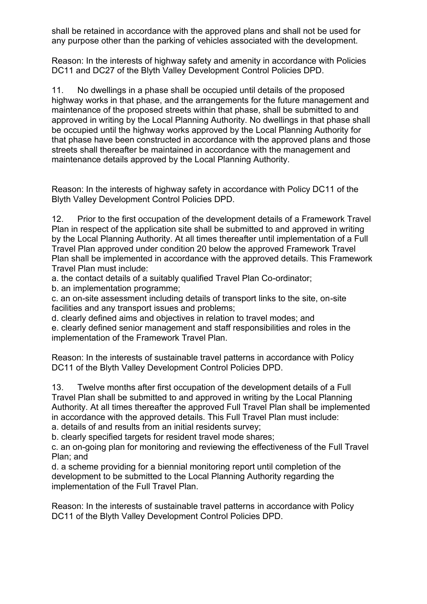shall be retained in accordance with the approved plans and shall not be used for any purpose other than the parking of vehicles associated with the development.

Reason: In the interests of highway safety and amenity in accordance with Policies DC11 and DC27 of the Blyth Valley Development Control Policies DPD.

11. No dwellings in a phase shall be occupied until details of the proposed highway works in that phase, and the arrangements for the future management and maintenance of the proposed streets within that phase, shall be submitted to and approved in writing by the Local Planning Authority. No dwellings in that phase shall be occupied until the highway works approved by the Local Planning Authority for that phase have been constructed in accordance with the approved plans and those streets shall thereafter be maintained in accordance with the management and maintenance details approved by the Local Planning Authority.

Reason: In the interests of highway safety in accordance with Policy DC11 of the Blyth Valley Development Control Policies DPD.

12. Prior to the first occupation of the development details of a Framework Travel Plan in respect of the application site shall be submitted to and approved in writing by the Local Planning Authority. At all times thereafter until implementation of a Full Travel Plan approved under condition 20 below the approved Framework Travel Plan shall be implemented in accordance with the approved details. This Framework Travel Plan must include:

a. the contact details of a suitably qualified Travel Plan Co-ordinator;

b. an implementation programme;

c. an on-site assessment including details of transport links to the site, on-site facilities and any transport issues and problems;

d. clearly defined aims and objectives in relation to travel modes; and e. clearly defined senior management and staff responsibilities and roles in the implementation of the Framework Travel Plan.

Reason: In the interests of sustainable travel patterns in accordance with Policy DC11 of the Blyth Valley Development Control Policies DPD.

13. Twelve months after first occupation of the development details of a Full Travel Plan shall be submitted to and approved in writing by the Local Planning Authority. At all times thereafter the approved Full Travel Plan shall be implemented in accordance with the approved details. This Full Travel Plan must include: a. details of and results from an initial residents survey;

b. clearly specified targets for resident travel mode shares:

c. an on-going plan for monitoring and reviewing the effectiveness of the Full Travel Plan; and

d. a scheme providing for a biennial monitoring report until completion of the development to be submitted to the Local Planning Authority regarding the implementation of the Full Travel Plan.

Reason: In the interests of sustainable travel patterns in accordance with Policy DC11 of the Blyth Valley Development Control Policies DPD.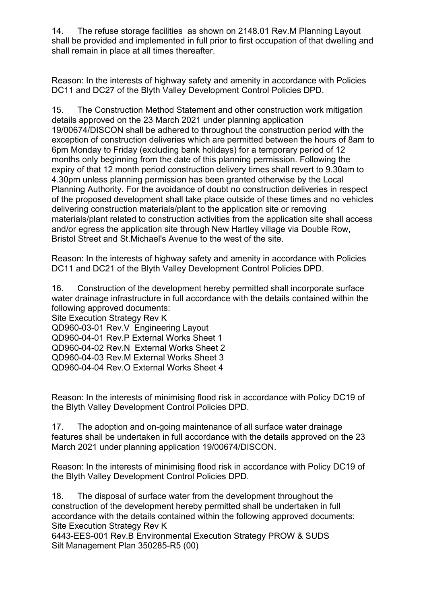14. The refuse storage facilities as shown on 2148.01 Rev.M Planning Layout shall be provided and implemented in full prior to first occupation of that dwelling and shall remain in place at all times thereafter.

Reason: In the interests of highway safety and amenity in accordance with Policies DC11 and DC27 of the Blyth Valley Development Control Policies DPD.

15. The Construction Method Statement and other construction work mitigation details approved on the 23 March 2021 under planning application 19/00674/DISCON shall be adhered to throughout the construction period with the exception of construction deliveries which are permitted between the hours of 8am to 6pm Monday to Friday (excluding bank holidays) for a temporary period of 12 months only beginning from the date of this planning permission. Following the expiry of that 12 month period construction delivery times shall revert to 9.30am to 4.30pm unless planning permission has been granted otherwise by the Local Planning Authority. For the avoidance of doubt no construction deliveries in respect of the proposed development shall take place outside of these times and no vehicles delivering construction materials/plant to the application site or removing materials/plant related to construction activities from the application site shall access and/or egress the application site through New Hartley village via Double Row, Bristol Street and St.Michael's Avenue to the west of the site.

Reason: In the interests of highway safety and amenity in accordance with Policies DC11 and DC21 of the Blyth Valley Development Control Policies DPD.

16. Construction of the development hereby permitted shall incorporate surface water drainage infrastructure in full accordance with the details contained within the following approved documents:

Site Execution Strategy Rev K

QD960-03-01 Rev.V Engineering Layout

QD960-04-01 Rev.P External Works Sheet 1

QD960-04-02 Rev.N External Works Sheet 2

QD960-04-03 Rev.M External Works Sheet 3

QD960-04-04 Rev.O External Works Sheet 4

Reason: In the interests of minimising flood risk in accordance with Policy DC19 of the Blyth Valley Development Control Policies DPD.

17. The adoption and on-going maintenance of all surface water drainage features shall be undertaken in full accordance with the details approved on the 23 March 2021 under planning application 19/00674/DISCON.

Reason: In the interests of minimising flood risk in accordance with Policy DC19 of the Blyth Valley Development Control Policies DPD.

18. The disposal of surface water from the development throughout the construction of the development hereby permitted shall be undertaken in full accordance with the details contained within the following approved documents: Site Execution Strategy Rev K

6443-EES-001 Rev.B Environmental Execution Strategy PROW & SUDS Silt Management Plan 350285-R5 (00)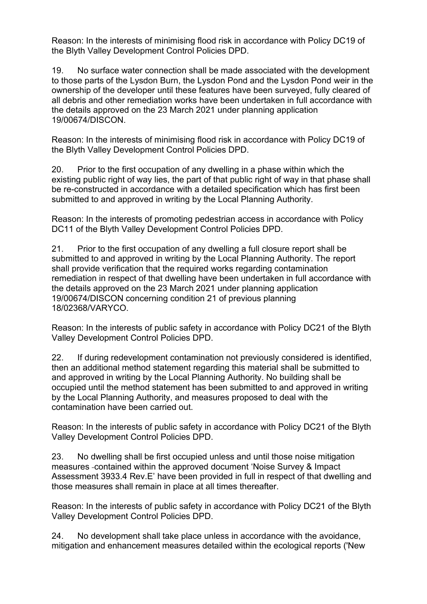Reason: In the interests of minimising flood risk in accordance with Policy DC19 of the Blyth Valley Development Control Policies DPD.

19. No surface water connection shall be made associated with the development to those parts of the Lysdon Burn, the Lysdon Pond and the Lysdon Pond weir in the ownership of the developer until these features have been surveyed, fully cleared of all debris and other remediation works have been undertaken in full accordance with the details approved on the 23 March 2021 under planning application 19/00674/DISCON.

Reason: In the interests of minimising flood risk in accordance with Policy DC19 of the Blyth Valley Development Control Policies DPD.

20. Prior to the first occupation of any dwelling in a phase within which the existing public right of way lies, the part of that public right of way in that phase shall be re-constructed in accordance with a detailed specification which has first been submitted to and approved in writing by the Local Planning Authority.

Reason: In the interests of promoting pedestrian access in accordance with Policy DC11 of the Blyth Valley Development Control Policies DPD.

21. Prior to the first occupation of any dwelling a full closure report shall be submitted to and approved in writing by the Local Planning Authority. The report shall provide verification that the required works regarding contamination remediation in respect of that dwelling have been undertaken in full accordance with the details approved on the 23 March 2021 under planning application 19/00674/DISCON concerning condition 21 of previous planning 18/02368/VARYCO.

Reason: In the interests of public safety in accordance with Policy DC21 of the Blyth Valley Development Control Policies DPD.

22. If during redevelopment contamination not previously considered is identified, then an additional method statement regarding this material shall be submitted to and approved in writing by the Local Planning Authority. No building shall be occupied until the method statement has been submitted to and approved in writing by the Local Planning Authority, and measures proposed to deal with the contamination have been carried out.

Reason: In the interests of public safety in accordance with Policy DC21 of the Blyth Valley Development Control Policies DPD.

23. No dwelling shall be first occupied unless and until those noise mitigation measures contained within the approved document 'Noise Survey & Impact Assessment 3933.4 Rev.E' have been provided in full in respect of that dwelling and those measures shall remain in place at all times thereafter.

Reason: In the interests of public safety in accordance with Policy DC21 of the Blyth Valley Development Control Policies DPD.

24. No development shall take place unless in accordance with the avoidance, mitigation and enhancement measures detailed within the ecological reports ('New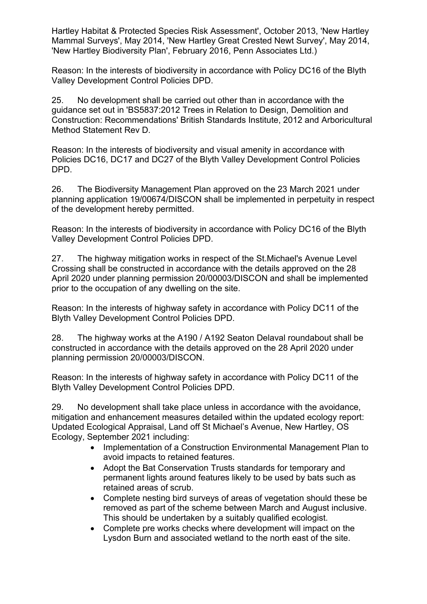Hartley Habitat & Protected Species Risk Assessment', October 2013, 'New Hartley Mammal Surveys', May 2014, 'New Hartley Great Crested Newt Survey', May 2014, 'New Hartley Biodiversity Plan', February 2016, Penn Associates Ltd.)

Reason: In the interests of biodiversity in accordance with Policy DC16 of the Blyth Valley Development Control Policies DPD.

25. No development shall be carried out other than in accordance with the guidance set out in 'BS5837:2012 Trees in Relation to Design, Demolition and Construction: Recommendations' British Standards Institute, 2012 and Arboricultural Method Statement Rev D.

Reason: In the interests of biodiversity and visual amenity in accordance with Policies DC16, DC17 and DC27 of the Blyth Valley Development Control Policies DPD.

26. The Biodiversity Management Plan approved on the 23 March 2021 under planning application 19/00674/DISCON shall be implemented in perpetuity in respect of the development hereby permitted.

Reason: In the interests of biodiversity in accordance with Policy DC16 of the Blyth Valley Development Control Policies DPD.

27. The highway mitigation works in respect of the St.Michael's Avenue Level Crossing shall be constructed in accordance with the details approved on the 28 April 2020 under planning permission 20/00003/DISCON and shall be implemented prior to the occupation of any dwelling on the site.

Reason: In the interests of highway safety in accordance with Policy DC11 of the Blyth Valley Development Control Policies DPD.

28. The highway works at the A190 / A192 Seaton Delaval roundabout shall be constructed in accordance with the details approved on the 28 April 2020 under planning permission 20/00003/DISCON.

Reason: In the interests of highway safety in accordance with Policy DC11 of the Blyth Valley Development Control Policies DPD.

29. No development shall take place unless in accordance with the avoidance, mitigation and enhancement measures detailed within the updated ecology report: Updated Ecological Appraisal, Land off St Michael's Avenue, New Hartley, OS Ecology, September 2021 including:

- Implementation of a Construction Environmental Management Plan to avoid impacts to retained features.
- Adopt the Bat Conservation Trusts standards for temporary and permanent lights around features likely to be used by bats such as retained areas of scrub.
- Complete nesting bird surveys of areas of vegetation should these be removed as part of the scheme between March and August inclusive. This should be undertaken by a suitably qualified ecologist.
- Complete pre works checks where development will impact on the Lysdon Burn and associated wetland to the north east of the site.